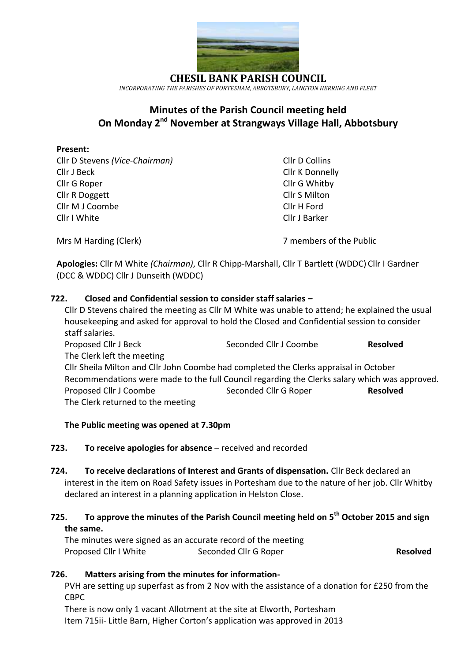

**CHESIL BANK PARISH COUNCIL** *INCORPORATING THE PARISHES OF PORTESHAM, ABBOTSBURY, LANGTON HERRING AND FLEET*

# **Minutes of the Parish Council meeting held On Monday 2 nd November at Strangways Village Hall, Abbotsbury**

## **Present:**

Cllr D Stevens *(Vice-Chairman)* Cllr D Collins Cllr J Beck Cllr K Donnelly Cllr G Roper Cllr G Whitby Cllr R Doggett Cllr S Milton Cllr M J Coombe Cllr H Ford Cllr I White Cllr J Barker

Mrs M Harding (Clerk) **7 members of the Public** 

**Apologies:** Cllr M White *(Chairman)*, Cllr R Chipp-Marshall, Cllr T Bartlett (WDDC) Cllr I Gardner (DCC & WDDC) Cllr J Dunseith (WDDC)

# **722. Closed and Confidential session to consider staff salaries –**

Cllr D Stevens chaired the meeting as Cllr M White was unable to attend; he explained the usual housekeeping and asked for approval to hold the Closed and Confidential session to consider staff salaries. Proposed Cllr J Beck **Seconded Cllr J Coombe Resolved** The Clerk left the meeting Cllr Sheila Milton and Cllr John Coombe had completed the Clerks appraisal in October

Recommendations were made to the full Council regarding the Clerks salary which was approved. Proposed Cllr J Coombe Seconded Cllr G Roper **Resolved** The Clerk returned to the meeting

#### **The Public meeting was opened at 7.30pm**

#### **723. To receive apologies for absence** – received and recorded

**724. To receive declarations of Interest and Grants of dispensation.** Cllr Beck declared an interest in the item on Road Safety issues in Portesham due to the nature of her job. Cllr Whitby declared an interest in a planning application in Helston Close.

# **725. To approve the minutes of the Parish Council meeting held on 5 th October 2015 and sign the same.**

The minutes were signed as an accurate record of the meeting Proposed Cllr I White Seconded Cllr G Roper **Resolved** 

# **726. Matters arising from the minutes for information-**

PVH are setting up superfast as from 2 Nov with the assistance of a donation for £250 from the CBPC

There is now only 1 vacant Allotment at the site at Elworth, Portesham Item 715ii- Little Barn, Higher Corton's application was approved in 2013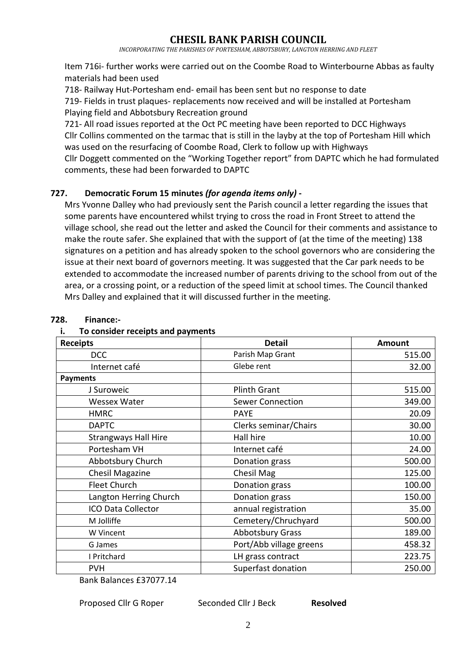*INCORPORATING THE PARISHES OF PORTESHAM, ABBOTSBURY, LANGTON HERRING AND FLEET*

Item 716i- further works were carried out on the Coombe Road to Winterbourne Abbas as faulty materials had been used

718- Railway Hut-Portesham end- email has been sent but no response to date

719- Fields in trust plaques- replacements now received and will be installed at Portesham Playing field and Abbotsbury Recreation ground

721- All road issues reported at the Oct PC meeting have been reported to DCC Highways Cllr Collins commented on the tarmac that is still in the layby at the top of Portesham Hill which was used on the resurfacing of Coombe Road, Clerk to follow up with Highways Cllr Doggett commented on the "Working Together report" from DAPTC which he had formulated comments, these had been forwarded to DAPTC

# **727. Democratic Forum 15 minutes** *(for agenda items only)* **-**

Mrs Yvonne Dalley who had previously sent the Parish council a letter regarding the issues that some parents have encountered whilst trying to cross the road in Front Street to attend the village school, she read out the letter and asked the Council for their comments and assistance to make the route safer. She explained that with the support of (at the time of the meeting) 138 signatures on a petition and has already spoken to the school governors who are considering the issue at their next board of governors meeting. It was suggested that the Car park needs to be extended to accommodate the increased number of parents driving to the school from out of the area, or a crossing point, or a reduction of the speed limit at school times. The Council thanked Mrs Dalley and explained that it will discussed further in the meeting.

| <b>Receipts</b>             | <b>Detail</b>           | <b>Amount</b> |
|-----------------------------|-------------------------|---------------|
| <b>DCC</b>                  | Parish Map Grant        | 515.00        |
| Internet café               | Glebe rent              | 32.00         |
| <b>Payments</b>             |                         |               |
| J Suroweic                  | <b>Plinth Grant</b>     | 515.00        |
| <b>Wessex Water</b>         | <b>Sewer Connection</b> | 349.00        |
| <b>HMRC</b>                 | <b>PAYE</b>             | 20.09         |
| <b>DAPTC</b>                | Clerks seminar/Chairs   | 30.00         |
| <b>Strangways Hall Hire</b> | Hall hire               | 10.00         |
| Portesham VH                | Internet café           | 24.00         |
| Abbotsbury Church           | Donation grass          | 500.00        |
| <b>Chesil Magazine</b>      | Chesil Mag              | 125.00        |
| <b>Fleet Church</b>         | Donation grass          | 100.00        |
| Langton Herring Church      | Donation grass          | 150.00        |
| <b>ICO Data Collector</b>   | annual registration     | 35.00         |
| M Jolliffe                  | Cemetery/Chruchyard     | 500.00        |
| W Vincent                   | <b>Abbotsbury Grass</b> | 189.00        |
| G James                     | Port/Abb village greens | 458.32        |
| I Pritchard                 | LH grass contract       | 223.75        |
| <b>PVH</b>                  | Superfast donation      | 250.00        |

#### **728. Finance:-**

#### **i. To consider receipts and payments**

Bank Balances £37077.14

Proposed Cllr G Roper Seconded Cllr J Beck **Resolved** 

2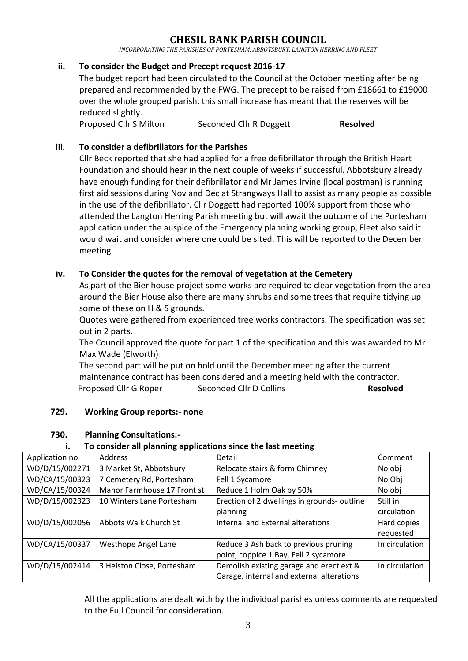*INCORPORATING THE PARISHES OF PORTESHAM, ABBOTSBURY, LANGTON HERRING AND FLEET*

### **ii. To consider the Budget and Precept request 2016-17**

The budget report had been circulated to the Council at the October meeting after being prepared and recommended by the FWG. The precept to be raised from £18661 to £19000 over the whole grouped parish, this small increase has meant that the reserves will be reduced slightly.

Proposed Cllr S Milton Seconded Cllr R Doggett **Resolved** 

### **iii. To consider a defibrillators for the Parishes**

Cllr Beck reported that she had applied for a free defibrillator through the British Heart Foundation and should hear in the next couple of weeks if successful. Abbotsbury already have enough funding for their defibrillator and Mr James Irvine (local postman) is running first aid sessions during Nov and Dec at Strangways Hall to assist as many people as possible in the use of the defibrillator. Cllr Doggett had reported 100% support from those who attended the Langton Herring Parish meeting but will await the outcome of the Portesham application under the auspice of the Emergency planning working group, Fleet also said it would wait and consider where one could be sited. This will be reported to the December meeting.

### **iv. To Consider the quotes for the removal of vegetation at the Cemetery**

As part of the Bier house project some works are required to clear vegetation from the area around the Bier House also there are many shrubs and some trees that require tidying up some of these on H & S grounds.

Quotes were gathered from experienced tree works contractors. The specification was set out in 2 parts.

The Council approved the quote for part 1 of the specification and this was awarded to Mr Max Wade (Elworth)

The second part will be put on hold until the December meeting after the current maintenance contract has been considered and a meeting held with the contractor. Proposed Cllr G Roper Seconded Cllr D Collins **Resolved** 

#### **729. Working Group reports:- none**

#### **730. Planning Consultations:-**

#### **i. To consider all planning applications since the last meeting**

| Application no | Address                     | Detail                                      | Comment        |
|----------------|-----------------------------|---------------------------------------------|----------------|
| WD/D/15/002271 | 3 Market St, Abbotsbury     | Relocate stairs & form Chimney              | No obj         |
| WD/CA/15/00323 | 7 Cemetery Rd, Portesham    | Fell 1 Sycamore                             | No Obj         |
| WD/CA/15/00324 | Manor Farmhouse 17 Front st | Reduce 1 Holm Oak by 50%                    | No obj         |
| WD/D/15/002323 | 10 Winters Lane Portesham   | Erection of 2 dwellings in grounds- outline | Still in       |
|                |                             | planning                                    | circulation    |
| WD/D/15/002056 | Abbots Walk Church St       | Internal and External alterations           | Hard copies    |
|                |                             |                                             | requested      |
| WD/CA/15/00337 | <b>Westhope Angel Lane</b>  | Reduce 3 Ash back to previous pruning       | In circulation |
|                |                             | point, coppice 1 Bay, Fell 2 sycamore       |                |
| WD/D/15/002414 | 3 Helston Close, Portesham  | Demolish existing garage and erect ext &    | In circulation |
|                |                             | Garage, internal and external alterations   |                |

All the applications are dealt with by the individual parishes unless comments are requested to the Full Council for consideration.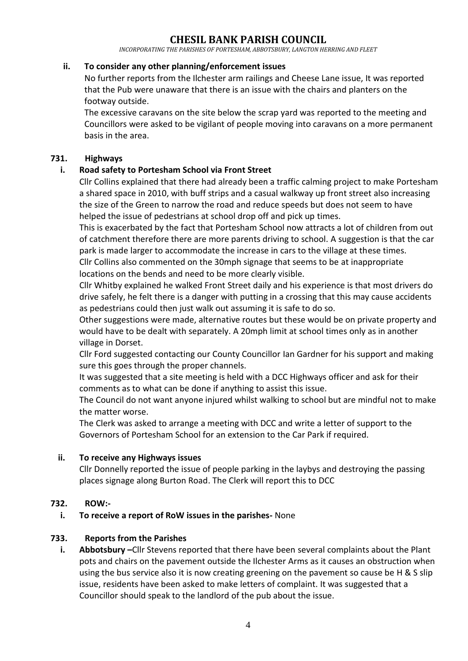*INCORPORATING THE PARISHES OF PORTESHAM, ABBOTSBURY, LANGTON HERRING AND FLEET*

#### **ii. To consider any other planning/enforcement issues**

No further reports from the Ilchester arm railings and Cheese Lane issue, It was reported that the Pub were unaware that there is an issue with the chairs and planters on the footway outside.

The excessive caravans on the site below the scrap yard was reported to the meeting and Councillors were asked to be vigilant of people moving into caravans on a more permanent basis in the area.

### **731. Highways**

## **i. Road safety to Portesham School via Front Street**

Cllr Collins explained that there had already been a traffic calming project to make Portesham a shared space in 2010, with buff strips and a casual walkway up front street also increasing the size of the Green to narrow the road and reduce speeds but does not seem to have helped the issue of pedestrians at school drop off and pick up times.

This is exacerbated by the fact that Portesham School now attracts a lot of children from out of catchment therefore there are more parents driving to school. A suggestion is that the car park is made larger to accommodate the increase in cars to the village at these times.

Cllr Collins also commented on the 30mph signage that seems to be at inappropriate locations on the bends and need to be more clearly visible.

Cllr Whitby explained he walked Front Street daily and his experience is that most drivers do drive safely, he felt there is a danger with putting in a crossing that this may cause accidents as pedestrians could then just walk out assuming it is safe to do so.

Other suggestions were made, alternative routes but these would be on private property and would have to be dealt with separately. A 20mph limit at school times only as in another village in Dorset.

Cllr Ford suggested contacting our County Councillor Ian Gardner for his support and making sure this goes through the proper channels.

It was suggested that a site meeting is held with a DCC Highways officer and ask for their comments as to what can be done if anything to assist this issue.

The Council do not want anyone injured whilst walking to school but are mindful not to make the matter worse.

The Clerk was asked to arrange a meeting with DCC and write a letter of support to the Governors of Portesham School for an extension to the Car Park if required.

#### **ii. To receive any Highways issues**

Cllr Donnelly reported the issue of people parking in the laybys and destroying the passing places signage along Burton Road. The Clerk will report this to DCC

#### **732. ROW:-**

#### **i. To receive a report of RoW issues in the parishes-** None

#### **733. Reports from the Parishes**

**i. Abbotsbury –**Cllr Stevens reported that there have been several complaints about the Plant pots and chairs on the pavement outside the Ilchester Arms as it causes an obstruction when using the bus service also it is now creating greening on the pavement so cause be H & S slip issue, residents have been asked to make letters of complaint. It was suggested that a Councillor should speak to the landlord of the pub about the issue.